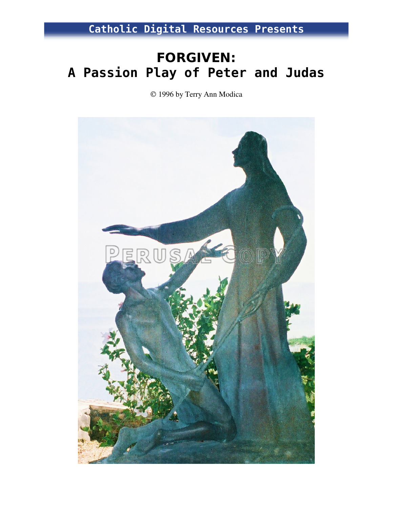Catholic Digital Resources Presents

# FORGIVEN: A Passion Play of Peter and Judas

1996 by Terry Ann Modica

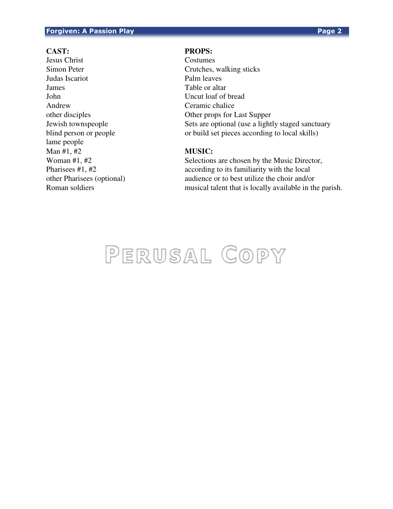### **Forgiven: A Passion Play Page 2**

Jesus Christ Costumes Simon Peter Crutches, walking sticks Judas Iscariot Palm leaves **James** Table or altar John Uncut loaf of bread Andrew Ceramic chalice lame people Man #1, #2 **MUSIC:**

# **CAST: PROPS:**

other disciples Other props for Last Supper Jewish townspeople Sets are optional (use a lightly staged sanctuary blind person or people or build set pieces according to local skills)

Woman #1, #2 Selections are chosen by the Music Director, Pharisees #1, #2 according to its familiarity with the local other Pharisees (optional) audience or to best utilize the choir and/or Roman soldiers musical talent that is locally available in the parish.

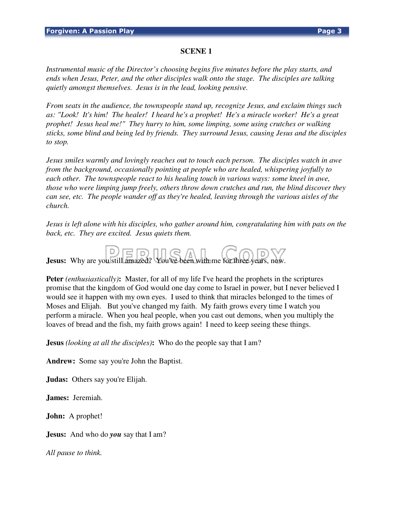## **SCENE 1**

*Instrumental music of the Director's choosing begins five minutes before the play starts, and ends when Jesus, Peter, and the other disciples walk onto the stage. The disciples are talking quietly amongst themselves. Jesus is in the lead, looking pensive.* 

*From seats in the audience, the townspeople stand up, recognize Jesus, and exclaim things such as: "Look! It's him! The healer! I heard he's a prophet! He's a miracle worker! He's a great prophet! Jesus heal me!" They hurry to him, some limping, some using crutches or walking sticks, some blind and being led by friends. They surround Jesus, causing Jesus and the disciples to stop.* 

*Jesus smiles warmly and lovingly reaches out to touch each person. The disciples watch in awe from the background, occasionally pointing at people who are healed, whispering joyfully to each other. The townspeople react to his healing touch in various ways: some kneel in awe, those who were limping jump freely, others throw down crutches and run, the blind discover they can see, etc. The people wander off as they're healed, leaving through the various aisles of the church.* 

*Jesus is left alone with his disciples, who gather around him, congratulating him with pats on the back, etc. They are excited. Jesus quiets them.* 



**Peter** *(enthusiastically)*: Master, for all of my life I've heard the prophets in the scriptures promise that the kingdom of God would one day come to Israel in power, but I never believed I would see it happen with my own eyes. I used to think that miracles belonged to the times of Moses and Elijah. But you've changed my faith. My faith grows every time I watch you perform a miracle. When you heal people, when you cast out demons, when you multiply the loaves of bread and the fish, my faith grows again! I need to keep seeing these things.

**Jesus** *(looking at all the disciples)***:** Who do the people say that I am?

**Andrew:** Some say you're John the Baptist.

**Judas:** Others say you're Elijah.

**James:** Jeremiah.

**John:** A prophet!

**Jesus:** And who do *you* say that I am?

*All pause to think.*